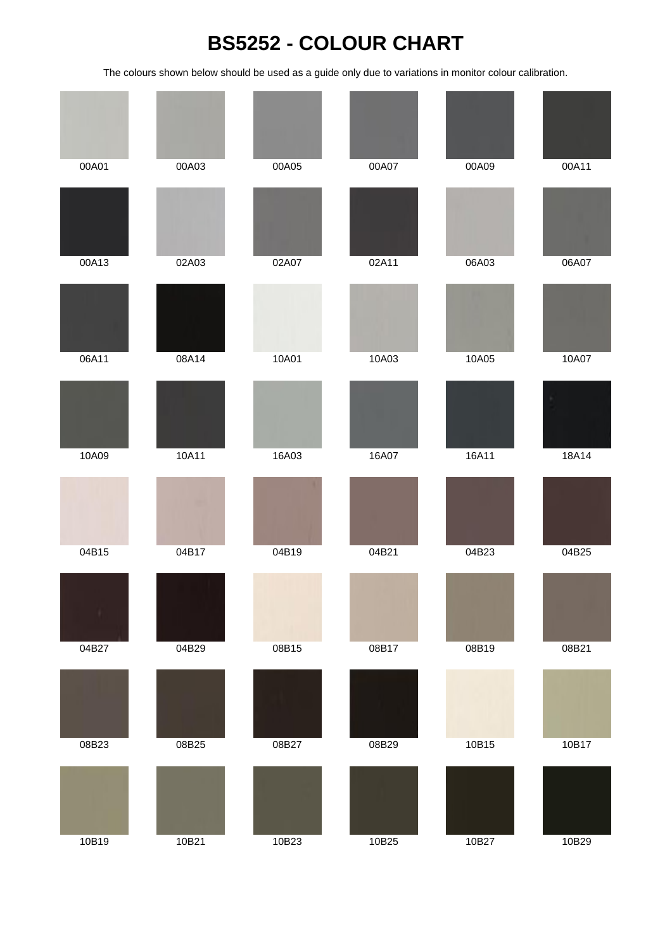## **BS5252 - COLOUR CHART**

The colours shown below should be used as a guide only due to variations in monitor colour calibration.

| 00A01 | 00A03 | 00A05 | 00A07 | 00A09 | 00A11 |
|-------|-------|-------|-------|-------|-------|
|       |       |       |       |       |       |
| 00A13 | 02A03 | 02A07 | 02A11 | 06A03 | 06A07 |
|       |       |       |       |       |       |
| 06A11 | 08A14 | 10A01 | 10A03 | 10A05 | 10A07 |
|       |       |       |       |       |       |
| 10A09 | 10A11 | 16A03 | 16A07 | 16A11 | 18A14 |
|       |       |       |       |       |       |
| 04B15 | 04B17 | 04B19 | 04B21 | 04B23 | 04B25 |
|       |       |       |       |       |       |
| 04B27 | 04B29 | 08B15 | 08B17 | 08B19 | 08B21 |
|       |       |       |       |       |       |
| 08B23 | 08B25 | 08B27 | 08B29 | 10B15 | 10B17 |
|       |       |       |       |       |       |
| 10B19 | 10B21 | 10B23 | 10B25 | 10B27 | 10B29 |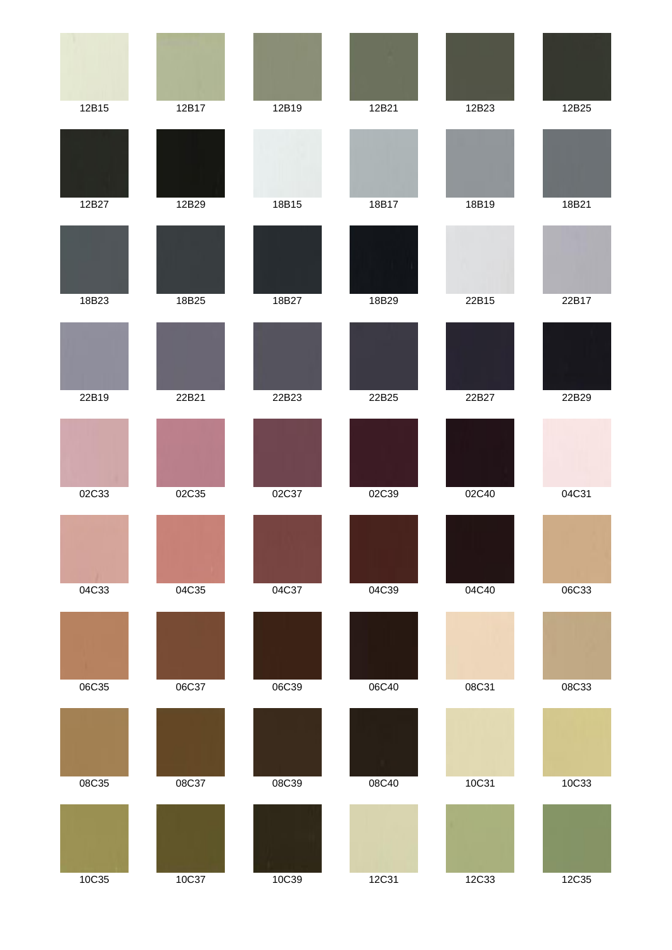| 12B15 | 12B17 | 12B19 | 12B21 | 12B23 | 12B25 |
|-------|-------|-------|-------|-------|-------|
|       |       |       |       |       |       |
| 12B27 | 12B29 | 18B15 | 18B17 | 18B19 | 18B21 |
|       |       |       |       |       |       |
| 18B23 | 18B25 | 18B27 | 18B29 | 22B15 | 22B17 |
|       |       |       |       |       |       |
| 22B19 | 22B21 | 22B23 | 22B25 | 22B27 | 22B29 |
|       |       |       |       |       |       |
| 02C33 | 02C35 | 02C37 | 02C39 | 02C40 | 04C31 |
|       |       |       |       |       |       |
| 04C33 | 04C35 | 04C37 | 04C39 | 04C40 | 06C33 |
|       |       |       |       |       |       |
| 06C35 | 06C37 | 06C39 | 06C40 | 08C31 | 08C33 |
|       |       |       |       |       |       |
| 08C35 | 08C37 | 08C39 | 08C40 | 10C31 | 10C33 |
|       |       |       |       |       |       |
| 10C35 | 10C37 | 10C39 | 12C31 | 12C33 | 12C35 |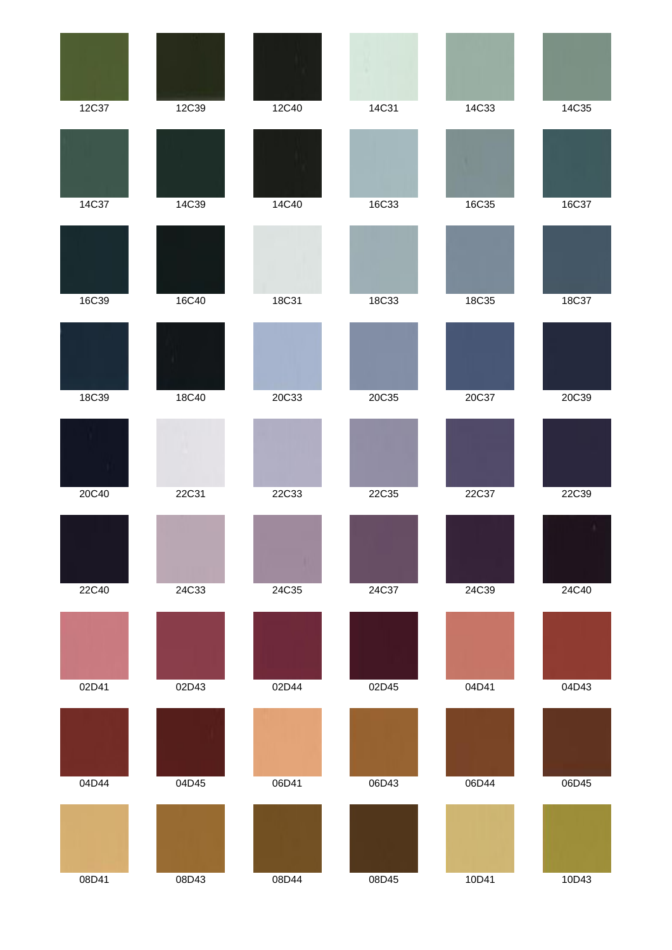|       |       |       | ٠     |       |       |
|-------|-------|-------|-------|-------|-------|
| 12C37 | 12C39 | 12C40 | 14C31 | 14C33 | 14C35 |
|       |       |       |       |       |       |
| 14C37 | 14C39 | 14C40 | 16C33 | 16C35 | 16C37 |
|       |       |       |       |       |       |
| 16C39 | 16C40 | 18C31 | 18C33 | 18C35 | 18C37 |
|       |       |       |       |       |       |
| 18C39 | 18C40 | 20C33 | 20C35 | 20C37 | 20C39 |
|       |       |       |       |       |       |
| 20C40 | 22C31 | 22C33 | 22C35 | 22C37 | 22C39 |
|       |       |       |       |       |       |
| 22C40 | 24C33 | 24C35 | 24C37 | 24C39 | 24C40 |
|       |       |       |       |       |       |
| 02D41 | 02D43 | 02D44 | 02D45 | 04D41 | 04D43 |
|       |       |       |       |       |       |
| 04D44 | 04D45 | 06D41 | 06D43 | 06D44 | 06D45 |
|       |       |       |       |       |       |
| 08D41 | 08D43 | 08D44 | 08D45 | 10D41 | 10D43 |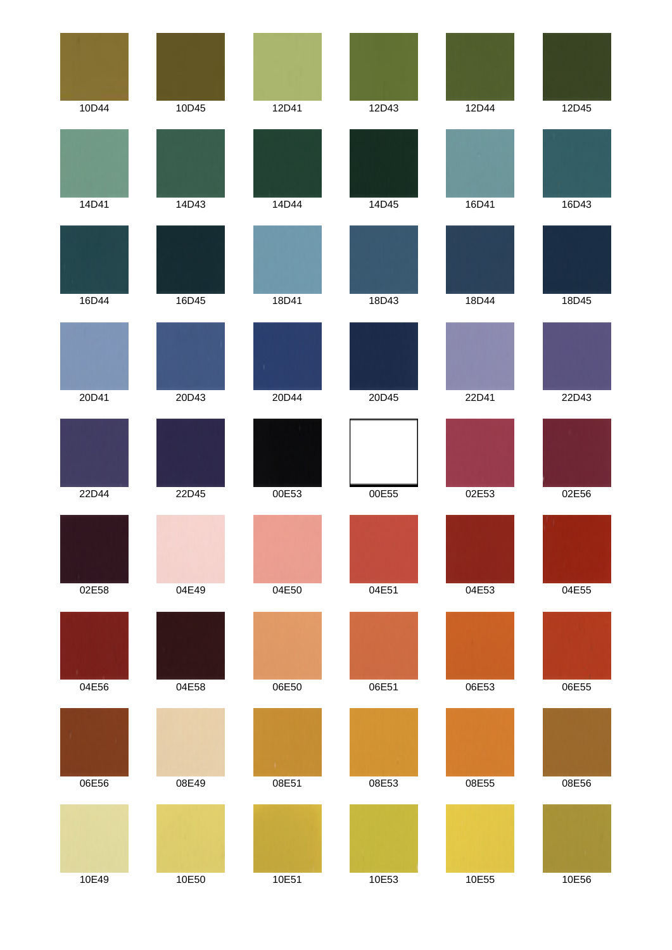| 10D44 | 10D45 | 12D41 | 12D43 | 12D44 | 12D45 |
|-------|-------|-------|-------|-------|-------|
|       |       |       |       |       |       |
| 14D41 | 14D43 | 14D44 | 14D45 | 16D41 | 16D43 |
|       |       |       |       |       |       |
| 16D44 | 16D45 | 18D41 | 18D43 | 18D44 | 18D45 |
|       |       |       |       |       |       |
| 20D41 | 20D43 | 20D44 | 20D45 | 22D41 | 22D43 |
|       |       |       |       |       |       |
| 22D44 | 22D45 | 00E53 | 00E55 | 02E53 | 02E56 |
|       |       |       |       |       |       |
| 02E58 | 04E49 | 04E50 | 04E51 | 04E53 | 04E55 |
|       |       |       |       |       |       |
| 04E56 | 04E58 | 06E50 | 06E51 | 06E53 | 06E55 |
|       |       | Œ.    |       |       |       |
| 06E56 | 08E49 | 08E51 | 08E53 | 08E55 | 08E56 |
|       |       |       |       |       |       |
| 10E49 | 10E50 | 10E51 | 10E53 | 10E55 | 10E56 |